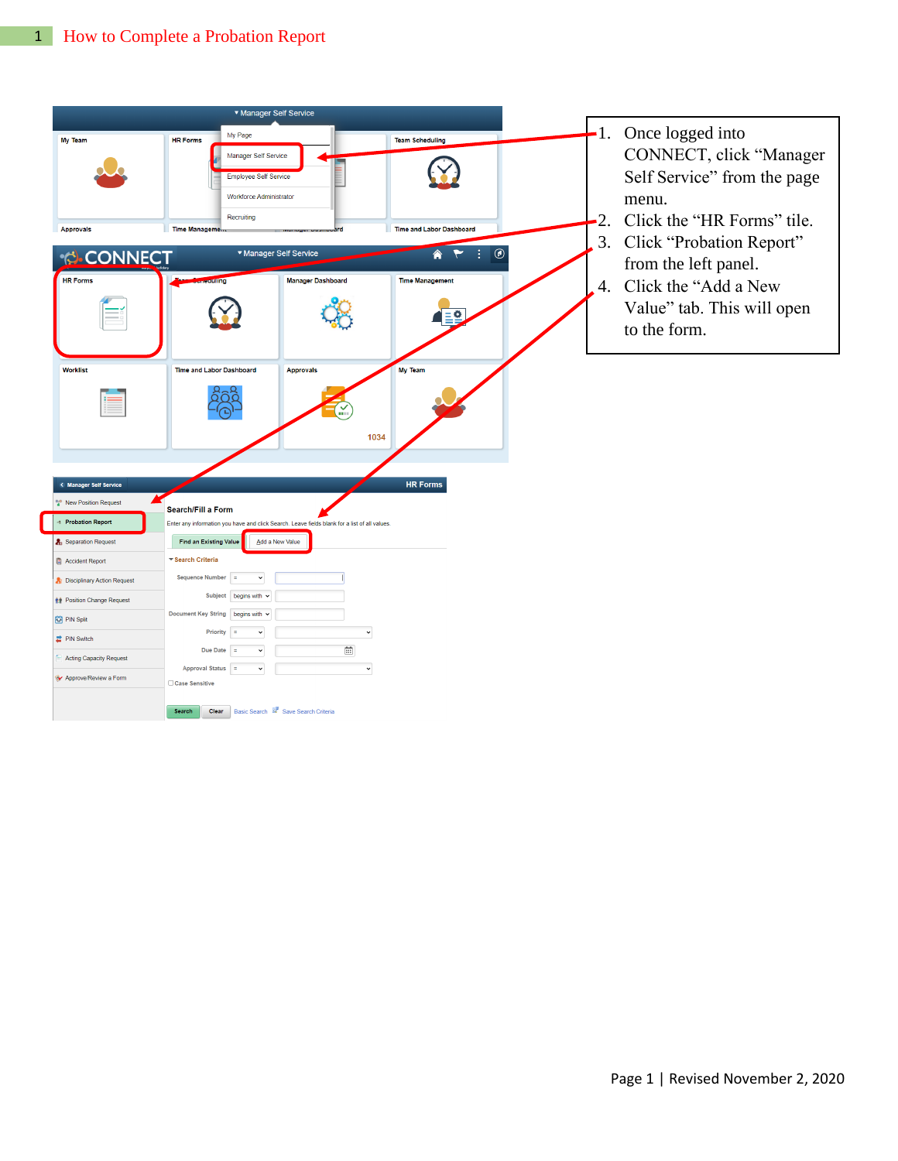|                                                                           | ▼ Manager Self Service                                                                                                                                                                                             |                 |                                                                                                                        |
|---------------------------------------------------------------------------|--------------------------------------------------------------------------------------------------------------------------------------------------------------------------------------------------------------------|-----------------|------------------------------------------------------------------------------------------------------------------------|
| My Team<br><b>Approvals</b>                                               | My Page<br><b>HR Forms</b><br><b>Team Scheduling</b><br>Manager Self Service<br><b>Employee Self Service</b><br><b>Workforce Administrator</b><br>Recruiting<br>Time Management<br><b>Time and Labor Dashboard</b> | 2.<br>3.        | -1. Once logged into<br>CONNECT, click "Manager<br>Self Service" from the page<br>menu.<br>Click the "HR Forms" tile.  |
| <b>CONNECT</b><br><b>HR Forms</b>                                         | $\circledcirc$<br>▼ Manager Self Service<br>♠<br><b>Time Management</b><br><b>culting</b><br><b>Manager Dashboard</b>                                                                                              | $\frac{1}{4}$ . | Click "Probation Report"<br>from the left panel.<br>Click the "Add a New<br>Value" tab. This will open<br>to the form. |
| <b>Worklist</b>                                                           | My Team<br><b>Time and Labor Dashboard</b><br><b>Approvals</b><br>1034                                                                                                                                             |                 |                                                                                                                        |
| < Manager Self Service<br>New Position Request<br><b>Probation Report</b> | <b>HR Forms</b><br>Search/Fill a Form<br>Enter any information you have and click Search. Leave fields blank for a list of all values                                                                              |                 |                                                                                                                        |
| Separation Request                                                        | <b>Find an Existing Value</b><br>Add a New Value                                                                                                                                                                   |                 |                                                                                                                        |
| Accident Report                                                           | ▼ Search Criteria                                                                                                                                                                                                  |                 |                                                                                                                        |
| <b>A</b> Disciplinary Action Request                                      | Sequence Number =<br>$\check{~}$                                                                                                                                                                                   |                 |                                                                                                                        |
| <b>Nº</b> Position Change Request                                         | Subject begins with $\sim$                                                                                                                                                                                         |                 |                                                                                                                        |
| <b>R2</b> PIN Split                                                       | Document Key String begins with v                                                                                                                                                                                  |                 |                                                                                                                        |
| PIN Switch                                                                | $\check{~}$<br>$\check{~}$<br>Priority<br>$\overline{a}$                                                                                                                                                           |                 |                                                                                                                        |
| <b>Acting Capacity Request</b>                                            | $\widehat{\Xi}$<br>Due Date $=$<br>$\check{~}$                                                                                                                                                                     |                 |                                                                                                                        |
| <b>Approve/Review a Form</b>                                              | Approval Status =<br>$\check{~}$<br>$_{\rm v}$<br>□ Case Sensitive                                                                                                                                                 |                 |                                                                                                                        |
|                                                                           | Basic Search <b>R</b> Save Search Criteria<br>Search<br>Clear                                                                                                                                                      |                 |                                                                                                                        |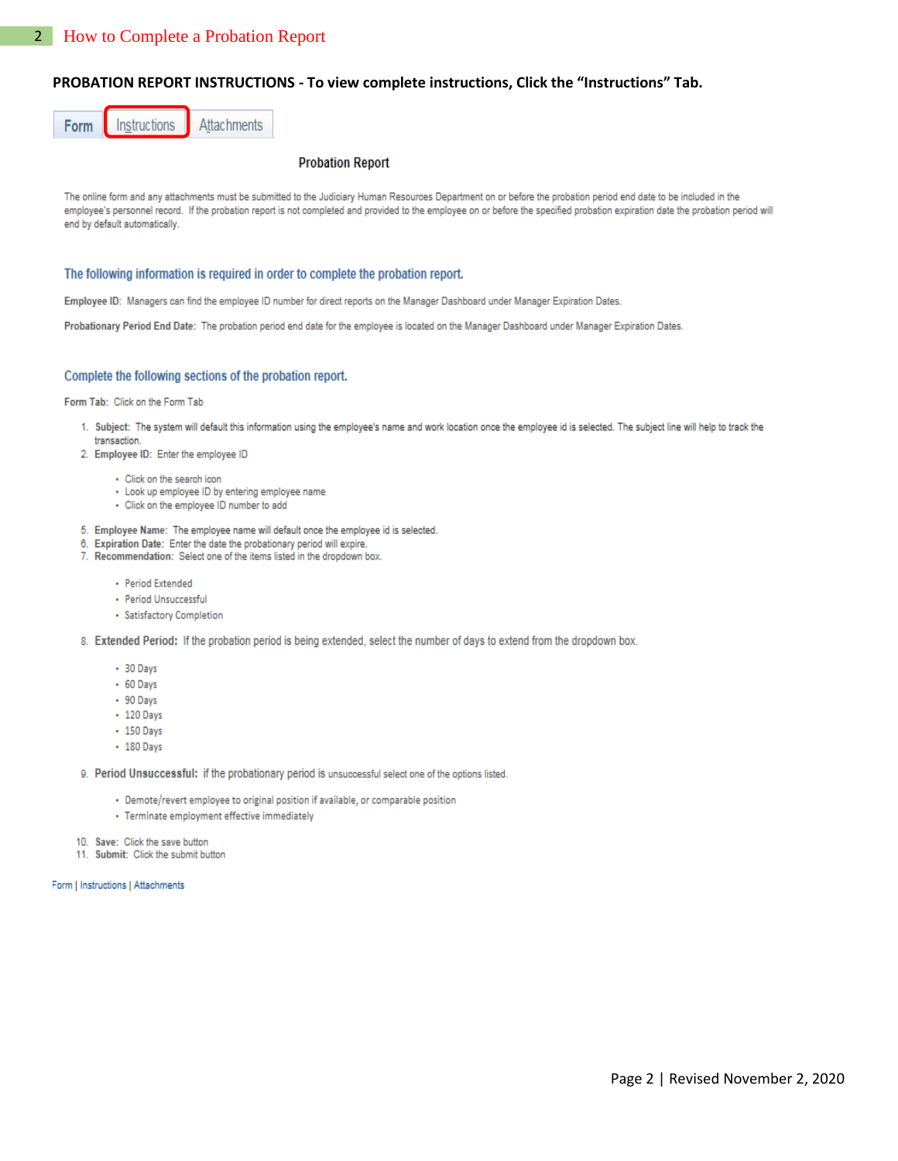## PROBATION REPORT INSTRUCTIONS - To view complete instructions, Click the "Instructions" Tab.



## **Probation Report**

The online form and any attachments must be submitted to the Judiciary Human Resources Department on or before the probation period end date to be included in the employee's personnel record. If the probation report is not completed and provided to the employee on or before the specified probation expiration date the probation period will end by default automatically.

## The following information is required in order to complete the probation report.

Employee ID: Managers can find the employee ID number for direct reports on the Manager Dashboard under Manager Expiration Dates.

Probationary Period End Date: The probation period end date for the employee is located on the Manager Dashboard under Manager Expiration Dates.

## Complete the following sections of the probation report.

Form Tab: Click on the Form Tab

- 1. Subject: The system will default this information using the employee's name and work location once the employee id is selected. The subject line will help to track the transaction
- 2. Employee ID: Enter the employee ID
	- · Click on the search icon
	- Look up employee ID by entering employee name
	- · Click on the employee ID number to add
- 5. Employee Name: The employee name will default once the employee id is selected.
- 6. Expiration Date: Enter the date the probationary period will expire.
- 7. Recommendation: Select one of the items listed in the dropdown box.
	- · Period Extended
	- · Period Unsuccessful
	- · Satisfactory Completion
- 8. Extended Period: If the probation period is being extended, select the number of days to extend from the dropdown box.
	- $+30$  Days
	- $+60$  Days
	- · 90 Days
	- 120 Days
	- 150 Days
	- 180 Days

9. Period Unsuccessful: if the probationary period is unsuccessful select one of the options listed.

- · Demote/revert employee to original position if available, or comparable position
- · Terminate employment effective immediately

10. Save: Click the save button

11. Submit: Click the submit button

Form | Instructions | Attachments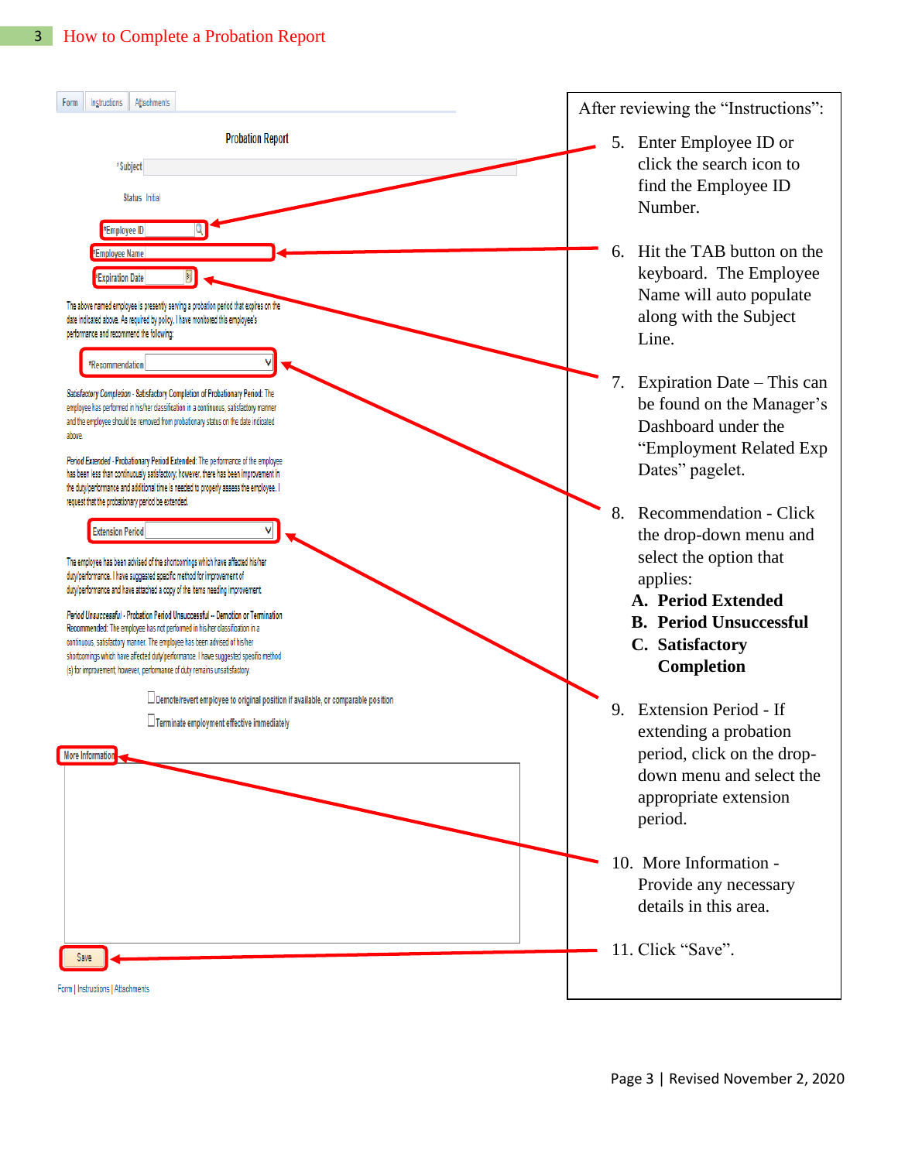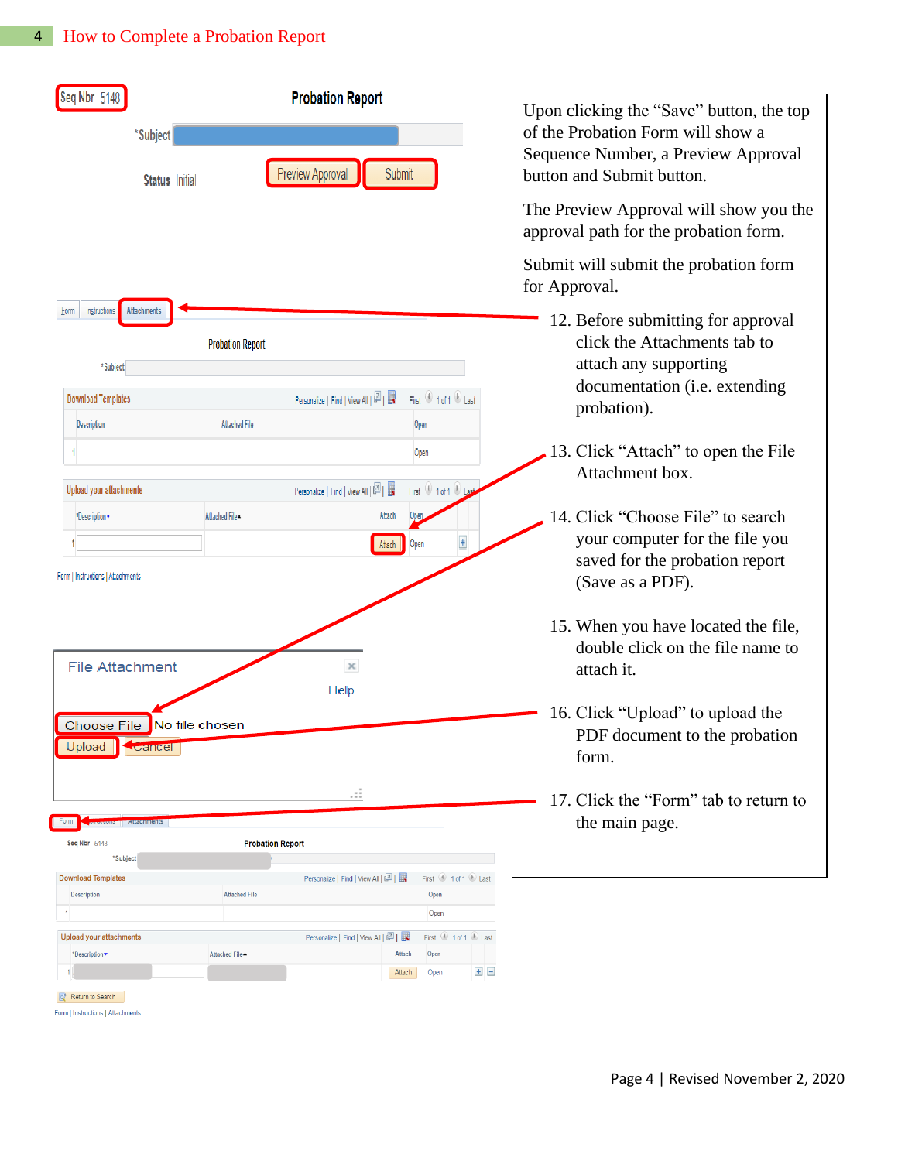| Seq Nbr 5148<br>*Subject<br><b>Status</b> Initial                                                                                                               |                                                                          | <b>Probation Report</b><br>Preview Approval<br>Submit                                                                            |                                                                                     | Upon clicking the "Save" button, the top<br>of the Probation Form will show a<br>Sequence Number, a Preview Approval<br>button and Submit button.<br>The Preview Approval will show you the<br>approval path for the probation form.<br>Submit will submit the probation form<br>for Approval. |
|-----------------------------------------------------------------------------------------------------------------------------------------------------------------|--------------------------------------------------------------------------|----------------------------------------------------------------------------------------------------------------------------------|-------------------------------------------------------------------------------------|------------------------------------------------------------------------------------------------------------------------------------------------------------------------------------------------------------------------------------------------------------------------------------------------|
| <b>Attachments</b><br>Instructions<br>Eorm<br>*Subject<br><b>Download Templates</b><br><b>Description</b><br><b>Upload your attachments</b><br>*Description     | <b>Probation Report</b><br><b>Attached File</b><br>Attached File-        | Personalize   Find   View All   $\boxed{2}$   $\boxed{3}$<br>Personalize   Find   View All   $\boxed{2}$   $\boxed{3}$<br>Attach | First 1 of 1 Last<br>Open<br>Open<br>First 1 of 1 0 Last<br>Open                    | 12. Before submitting for approval<br>click the Attachments tab to<br>attach any supporting<br>documentation (i.e. extending<br>probation).<br>13. Click "Attach" to open the File<br>Attachment box.<br>14. Click "Choose File" to search<br>your computer for the file you                   |
| Form   Instructions   Attachments<br><b>File Attachment</b><br>Choose File<br>Upload<br>Cancel                                                                  | No file chosen                                                           | Help                                                                                                                             |                                                                                     | saved for the probation report<br>(Save as a PDF).<br>15. When you have located the file,<br>double click on the file name to<br>attach it.<br>16. Click "Upload" to upload the<br>PDF document to the probation<br>form.                                                                      |
| <b>utachments</b><br>Form<br>Seq Nbr 5148<br>*Subject<br><b>Download Templates</b><br><b>Description</b><br>1<br><b>Upload your attachments</b><br>*Description | <b>Probation Report</b><br><b>Attached File</b><br><b>Attached File▲</b> | .<br>Personalize   Find   View All   2    <br>Personalize   Find   View All   [2]      <br><b>Attach</b><br>Attach               | First 1 of 1 Last<br>Open<br>Open<br>First 1 of 1 2 Last<br>Open<br>$+$ $-$<br>Open | 17. Click the "Form" tab to return to<br>the main page.                                                                                                                                                                                                                                        |

 $\boxed{\color{blue}{\mathsf{Q}^{\mathsf{A}}}}$  Return to Search

Form | Instructions | Attachments